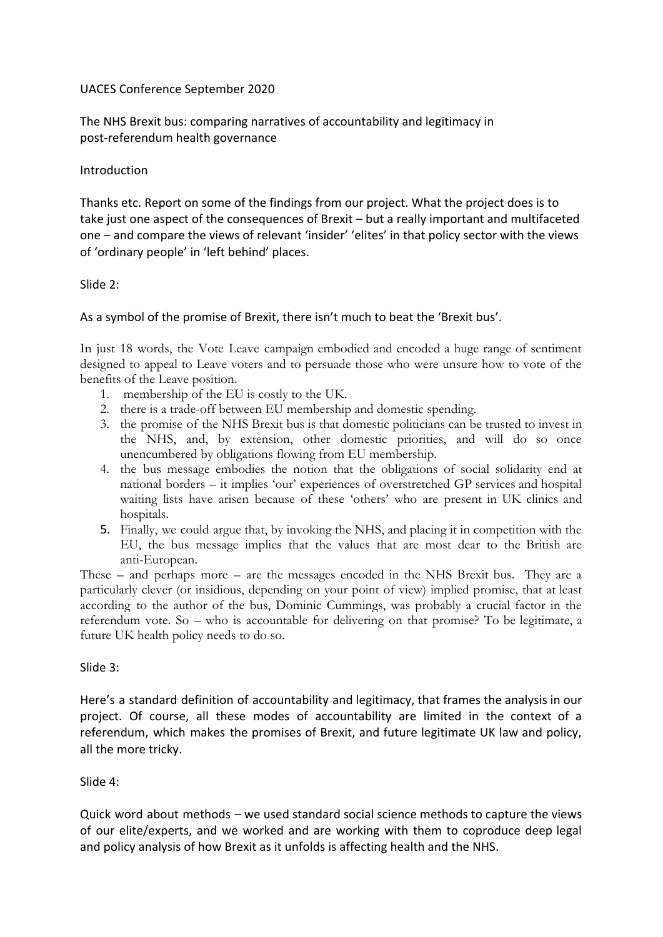## UACES Conference September 2020

The NHS Brexit bus: comparing narratives of accountability and legitimacy in post-referendum health governance

#### Introduction

Thanks etc. Report on some of the findings from our project. What the project does is to take just one aspect of the consequences of Brexit – but a really important and multifaceted one – and compare the views of relevant 'insider' 'elites' in that policy sector with the views of 'ordinary people' in 'left behind' places.

#### Slide 2:

## As a symbol of the promise of Brexit, there isn't much to beat the 'Brexit bus'.

In just 18 words, the Vote Leave campaign embodied and encoded a huge range of sentiment designed to appeal to Leave voters and to persuade those who were unsure how to vote of the benefits of the Leave position.

- 1. membership of the EU is costly to the UK.
- 2. there is a trade-off between EU membership and domestic spending.
- 3. the promise of the NHS Brexit bus is that domestic politicians can be trusted to invest in the NHS, and, by extension, other domestic priorities, and will do so once unencumbered by obligations flowing from EU membership.
- 4. the bus message embodies the notion that the obligations of social solidarity end at national borders – it implies 'our' experiences of overstretched GP services and hospital waiting lists have arisen because of these 'others' who are present in UK clinics and hospitals.
- 5. Finally, we could argue that, by invoking the NHS, and placing it in competition with the EU, the bus message implies that the values that are most dear to the British are anti-European.

These – and perhaps more – are the messages encoded in the NHS Brexit bus. They are a particularly clever (or insidious, depending on your point of view) implied promise, that at least according to the author of the bus, Dominic Cummings, was probably a crucial factor in the referendum vote. So – who is accountable for delivering on that promise? To be legitimate, a future UK health policy needs to do so.

#### Slide 3:

Here's a standard definition of accountability and legitimacy, that frames the analysis in our project. Of course, all these modes of accountability are limited in the context of a referendum, which makes the promises of Brexit, and future legitimate UK law and policy, all the more tricky.

#### Slide 4:

Quick word about methods – we used standard social science methods to capture the views of our elite/experts, and we worked and are working with them to coproduce deep legal and policy analysis of how Brexit as it unfolds is affecting health and the NHS.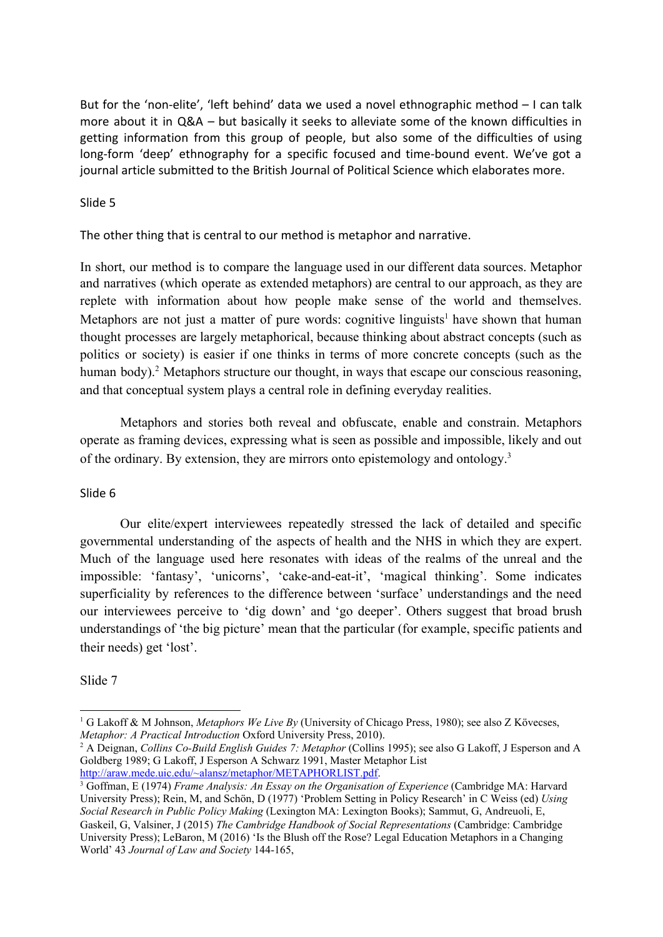But for the 'non-elite', 'left behind' data we used a novel ethnographic method – I can talk more about it in Q&A – but basically it seeks to alleviate some of the known difficulties in getting information from this group of people, but also some of the difficulties of using long-form 'deep' ethnography for a specific focused and time-bound event. We've got a journal article submitted to the British Journal of Political Science which elaborates more.

#### Slide 5

The other thing that is central to our method is metaphor and narrative.

In short, our method is to compare the language used in our different data sources. Metaphor and narratives (which operate as extended metaphors) are central to our approach, as they are replete with information about how people make sense of the world and themselves. Metaphors are not just a matter of pure words: cognitive linguists<sup>1</sup> have shown that human thought processes are largely metaphorical, because thinking about abstract concepts (such as politics or society) is easier if one thinks in terms of more concrete concepts (such as the human body).<sup>2</sup> Metaphors structure our thought, in ways that escape our conscious reasoning, and that conceptual system plays a central role in defining everyday realities.

Metaphors and stories both reveal and obfuscate, enable and constrain. Metaphors operate as framing devices, expressing what is seen as possible and impossible, likely and out of the ordinary. By extension, they are mirrors onto epistemology and ontology.<sup>3</sup>

#### Slide 6

Our elite/expert interviewees repeatedly stressed the lack of detailed and specific governmental understanding of the aspects of health and the NHS in which they are expert. Much of the language used here resonates with ideas of the realms of the unreal and the impossible: 'fantasy', 'unicorns', 'cake-and-eat-it', 'magical thinking'. Some indicates superficiality by references to the difference between 'surface' understandings and the need our interviewees perceive to 'dig down' and 'go deeper'. Others suggest that broad brush understandings of 'the big picture' mean that the particular (for example, specific patients and their needs) get 'lost'.

# Slide 7

<sup>1</sup> G Lakoff & M Johnson, *Metaphors We Live By* (University of Chicago Press, 1980); see also Z Kövecses, *Metaphor: A Practical Introduction* Oxford University Press, 2010).

<sup>2</sup> A Deignan, *Collins Co-Build English Guides 7: Metaphor* (Collins 1995); see also G Lakoff, J Esperson and A Goldberg 1989; G Lakoff, J Esperson A Schwarz 1991, Master Metaphor List [http://araw.mede.uic.edu/~alansz/metaphor/METAPHORLIST.pdf.](http://araw.mede.uic.edu/~alansz/metaphor/METAPHORLIST.pdf)

<sup>3</sup> Goffman, E (1974) *Frame Analysis: An Essay on the Organisation of Experience* (Cambridge MA: Harvard University Press); Rein, M, and Schön, D (1977) 'Problem Setting in Policy Research' in C Weiss (ed) *Using Social Research in Public Policy Making* (Lexington MA: Lexington Books); Sammut, G, Andreuoli, E, Gaskeil, G, Valsiner, J (2015) *The Cambridge Handbook of Social Representations* (Cambridge: Cambridge University Press); LeBaron, M (2016) 'Is the Blush off the Rose? Legal Education Metaphors in a Changing World' 43 *Journal of Law and Society* 144-165,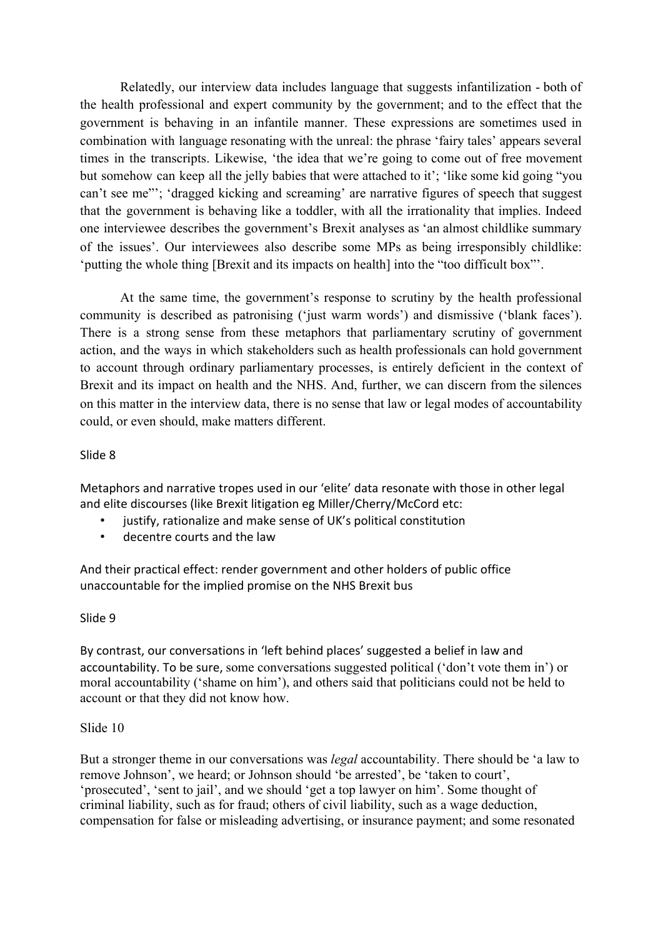Relatedly, our interview data includes language that suggests infantilization - both of the health professional and expert community by the government; and to the effect that the government is behaving in an infantile manner. These expressions are sometimes used in combination with language resonating with the unreal: the phrase 'fairy tales' appears several times in the transcripts. Likewise, 'the idea that we're going to come out of free movement but somehow can keep all the jelly babies that were attached to it'; 'like some kid going "you can't see me"'; 'dragged kicking and screaming' are narrative figures of speech that suggest that the government is behaving like a toddler, with all the irrationality that implies. Indeed one interviewee describes the government's Brexit analyses as 'an almost childlike summary of the issues'. Our interviewees also describe some MPs as being irresponsibly childlike: 'putting the whole thing [Brexit and its impacts on health] into the "too difficult box"'.

At the same time, the government's response to scrutiny by the health professional community is described as patronising ('just warm words') and dismissive ('blank faces'). There is a strong sense from these metaphors that parliamentary scrutiny of government action, and the ways in which stakeholders such as health professionals can hold government to account through ordinary parliamentary processes, is entirely deficient in the context of Brexit and its impact on health and the NHS. And, further, we can discern from the silences on this matter in the interview data, there is no sense that law or legal modes of accountability could, or even should, make matters different.

## Slide 8

Metaphors and narrative tropes used in our 'elite' data resonate with those in other legal and elite discourses (like Brexit litigation eg Miller/Cherry/McCord etc:

- justify, rationalize and make sense of UK's political constitution
- decentre courts and the law

And their practical effect: render government and other holders of public office unaccountable for the implied promise on the NHS Brexit bus

#### Slide 9

By contrast, our conversations in 'left behind places' suggested a belief in law and accountability. To be sure, some conversations suggested political ('don't vote them in') or moral accountability ('shame on him'), and others said that politicians could not be held to account or that they did not know how.

# Slide 10

But a stronger theme in our conversations was *legal* accountability. There should be 'a law to remove Johnson', we heard; or Johnson should 'be arrested', be 'taken to court', 'prosecuted', 'sent to jail', and we should 'get a top lawyer on him'. Some thought of criminal liability, such as for fraud; others of civil liability, such as a wage deduction, compensation for false or misleading advertising, or insurance payment; and some resonated